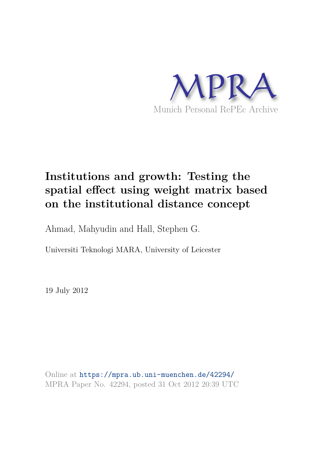

## **Institutions and growth: Testing the spatial effect using weight matrix based on the institutional distance concept**

Ahmad, Mahyudin and Hall, Stephen G.

Universiti Teknologi MARA, University of Leicester

19 July 2012

Online at https://mpra.ub.uni-muenchen.de/42294/ MPRA Paper No. 42294, posted 31 Oct 2012 20:39 UTC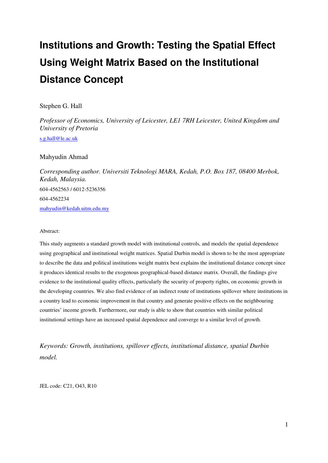# **Institutions and Growth: Testing the Spatial Effect Using Weight Matrix Based on the Institutional Distance Concept**

#### Stephen G. Hall

*Professor of Economics, University of Leicester, LE1 7RH Leicester, United Kingdom and University of Pretoria* 

[s.g.hall@le.ac.uk](mailto:s.g.hall@le.ac.uk) 

#### Mahyudin Ahmad

*Corresponding author. Universiti Teknologi MARA, Kedah, P.O. Box 187, 08400 Merbok, Kedah, Malaysia.*  604-4562563 / 6012-5236356 604-4562234 [mahyudin@kedah.uitm.edu.my](mailto:mahyudin@kedah.uitm.edu.my) 

#### Abstract:

This study augments a standard growth model with institutional controls, and models the spatial dependence using geographical and institutional weight matrices. Spatial Durbin model is shown to be the most appropriate to describe the data and political institutions weight matrix best explains the institutional distance concept since it produces identical results to the exogenous geographical-based distance matrix. Overall, the findings give evidence to the institutional quality effects, particularly the security of property rights, on economic growth in the developing countries. We also find evidence of an indirect route of institutions spillover where institutions in a country lead to economic improvement in that country and generate positive effects on the neighbouring countries' income growth. Furthermore, our study is able to show that countries with similar political institutional settings have an increased spatial dependence and converge to a similar level of growth.

*Keywords: Growth, institutions, spillover effects, institutional distance, spatial Durbin model.* 

JEL code: C21, O43, R10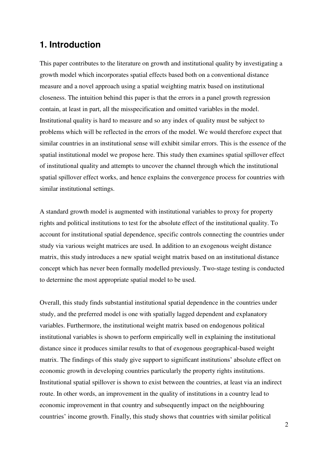#### **1. Introduction**

This paper contributes to the literature on growth and institutional quality by investigating a growth model which incorporates spatial effects based both on a conventional distance measure and a novel approach using a spatial weighting matrix based on institutional closeness. The intuition behind this paper is that the errors in a panel growth regression contain, at least in part, all the misspecification and omitted variables in the model. Institutional quality is hard to measure and so any index of quality must be subject to problems which will be reflected in the errors of the model. We would therefore expect that similar countries in an institutional sense will exhibit similar errors. This is the essence of the spatial institutional model we propose here. This study then examines spatial spillover effect of institutional quality and attempts to uncover the channel through which the institutional spatial spillover effect works, and hence explains the convergence process for countries with similar institutional settings.

A standard growth model is augmented with institutional variables to proxy for property rights and political institutions to test for the absolute effect of the institutional quality. To account for institutional spatial dependence, specific controls connecting the countries under study via various weight matrices are used. In addition to an exogenous weight distance matrix, this study introduces a new spatial weight matrix based on an institutional distance concept which has never been formally modelled previously. Two-stage testing is conducted to determine the most appropriate spatial model to be used.

Overall, this study finds substantial institutional spatial dependence in the countries under study, and the preferred model is one with spatially lagged dependent and explanatory variables. Furthermore, the institutional weight matrix based on endogenous political institutional variables is shown to perform empirically well in explaining the institutional distance since it produces similar results to that of exogenous geographical-based weight matrix. The findings of this study give support to significant institutions' absolute effect on economic growth in developing countries particularly the property rights institutions. Institutional spatial spillover is shown to exist between the countries, at least via an indirect route. In other words, an improvement in the quality of institutions in a country lead to economic improvement in that country and subsequently impact on the neighbouring countries' income growth. Finally, this study shows that countries with similar political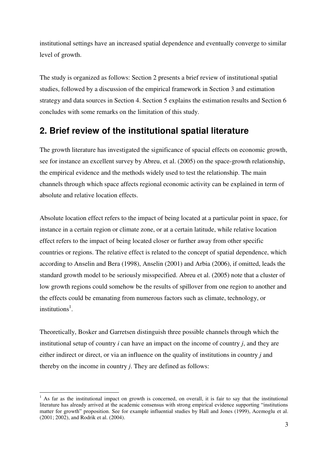institutional settings have an increased spatial dependence and eventually converge to similar level of growth.

The study is organized as follows: Section 2 presents a brief review of institutional spatial studies, followed by a discussion of the empirical framework in Section 3 and estimation strategy and data sources in Section 4. Section 5 explains the estimation results and Section 6 concludes with some remarks on the limitation of this study.

### **2. Brief review of the institutional spatial literature**

The growth literature has investigated the significance of spacial effects on economic growth, see for instance an excellent survey by Abreu, et al. (2005) on the space-growth relationship, the empirical evidence and the methods widely used to test the relationship. The main channels through which space affects regional economic activity can be explained in term of absolute and relative location effects.

Absolute location effect refers to the impact of being located at a particular point in space, for instance in a certain region or climate zone, or at a certain latitude, while relative location effect refers to the impact of being located closer or further away from other specific countries or regions. The relative effect is related to the concept of spatial dependence, which according to Anselin and Bera (1998), Anselin (2001) and Arbia (2006), if omitted, leads the standard growth model to be seriously misspecified. Abreu et al. (2005) note that a cluster of low growth regions could somehow be the results of spillover from one region to another and the effects could be emanating from numerous factors such as climate, technology, or institutions<sup>1</sup>.

Theoretically, Bosker and Garretsen distinguish three possible channels through which the institutional setup of country *i* can have an impact on the income of country *j*, and they are either indirect or direct, or via an influence on the quality of institutions in country *j* and thereby on the income in country *j*. They are defined as follows:

<sup>&</sup>lt;sup>1</sup> As far as the institutional impact on growth is concerned, on overall, it is fair to say that the institutional literature has already arrived at the academic consensus with strong empirical evidence supporting "institutions matter for growth" proposition. See for example influential studies by Hall and Jones (1999), Acemoglu et al. (2001; 2002), and Rodrik et al. (2004).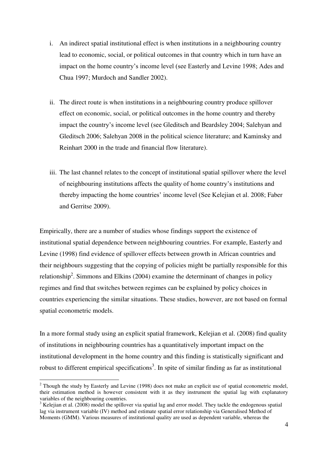- i. An indirect spatial institutional effect is when institutions in a neighbouring country lead to economic, social, or political outcomes in that country which in turn have an impact on the home country's income level (see Easterly and Levine 1998; Ades and Chua 1997; Murdoch and Sandler 2002).
- ii. The direct route is when institutions in a neighbouring country produce spillover effect on economic, social, or political outcomes in the home country and thereby impact the country's income level (see Gleditsch and Beardsley 2004; Salehyan and Gleditsch 2006; Salehyan 2008 in the political science literature; and Kaminsky and Reinhart 2000 in the trade and financial flow literature).
- iii. The last channel relates to the concept of institutional spatial spillover where the level of neighbouring institutions affects the quality of home country's institutions and thereby impacting the home countries' income level (See Kelejian et al. 2008; Faber and Gerritse 2009).

Empirically, there are a number of studies whose findings support the existence of institutional spatial dependence between neighbouring countries. For example, Easterly and Levine (1998) find evidence of spillover effects between growth in African countries and their neighbours suggesting that the copying of policies might be partially responsible for this relationship<sup>2</sup>. Simmons and Elkins (2004) examine the determinant of changes in policy regimes and find that switches between regimes can be explained by policy choices in countries experiencing the similar situations. These studies, however, are not based on formal spatial econometric models.

In a more formal study using an explicit spatial framework, Kelejian et al. (2008) find quality of institutions in neighbouring countries has a quantitatively important impact on the institutional development in the home country and this finding is statistically significant and robust to different empirical specifications<sup>3</sup>. In spite of similar finding as far as institutional

-

 $2$  Though the study by Easterly and Levine (1998) does not make an explicit use of spatial econometric model, their estimation method is however consistent with it as they instrument the spatial lag with explanatory variables of the neighbouring countries.

 $3$  Kelejian et al. (2008) model the spillover via spatial lag and error model. They tackle the endogenous spatial lag via instrument variable (IV) method and estimate spatial error relationship via Generalised Method of Moments (GMM). Various measures of institutional quality are used as dependent variable, whereas the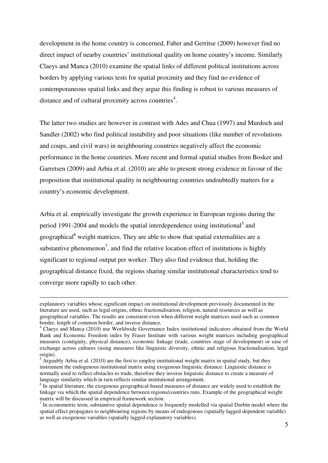development in the home country is concerned, Faber and Gerritse (2009) however find no direct impact of nearby countries' institutional quality on home country's income. Similarly Claeys and Manca (2010) examine the spatial links of different political institutions across borders by applying various tests for spatial proximity and they find no evidence of contemporaneous spatial links and they argue this finding is robust to various measures of distance and of cultural proximity across countries<sup>4</sup>.

The latter two studies are however in contrast with Ades and Chua (1997) and Murdoch and Sandler (2002) who find political instability and poor situations (like number of revolutions and coups, and civil wars) in neighbouring countries negatively affect the economic performance in the home countries. More recent and formal spatial studies from Bosker and Garretsen (2009) and Arbia et al. (2010) are able to present strong evidence in favour of the proposition that institutional quality in neighbouring countries undoubtedly matters for a country's economic development.

Arbia et al. empirically investigate the growth experience in European regions during the period 1991-2004 and models the spatial interdependence using institutional<sup>5</sup> and geographical<sup>6</sup> weight matrices. They are able to show that spatial externalities are a substantive phenomenon<sup>7</sup>, and find the relative location effect of institutions is highly significant to regional output per worker. They also find evidence that, holding the geographical distance fixed, the regions sharing similar institutional characteristics tend to converge more rapidly to each other.

-

explanatory variables whose significant impact on institutional development previously documented in the literature are used, such as legal origins, ethnic fractionalisation, religion, natural resources as well as geographical variables. The results are consistent even when different weight matrices used such as common border, length of common border, and inverse distance.

<sup>&</sup>lt;sup>4</sup> Claeys and Manca (2010) use Worldwide Governance Index institutional indicators obtained from the World Bank and Economic Freedom index by Fraser Institute with various weight matrices including geographical measures (contiguity, physical distance), economic linkage (trade, countries stage of development) or ease of exchange across cultures (using measures like linguistic diversity, ethnic and religious fractionalisation, legal origin).

 $<sup>5</sup>$  Arguably Arbia et al. (2010) are the first to employ institutional weight matrix in spatial study, but they</sup> instrument the endogenous institutional matrix using exogenous linguistic distance. Linguistic distance is normally used to reflect obstacles to trade, therefore they inverse linguistic distance to create a measure of language similarity which in turn reflects similar institutional arrangement.

<sup>&</sup>lt;sup>6</sup> In spatial literature, the exogenous geographical-based measures of distance are widely used to establish the linkage via which the spatial dependence between regions/countries runs. Example of the geographical weight matrix will be discussed in empirical framework section.

 $<sup>7</sup>$  In econometric term, substantive spatial dependence is frequently modelled via spatial Durbin model where the</sup> spatial effect propagates to neighbouring regions by means of endogenous (spatially lagged dependent variable) as well as exogenous variables (spatially lagged explanatory variables).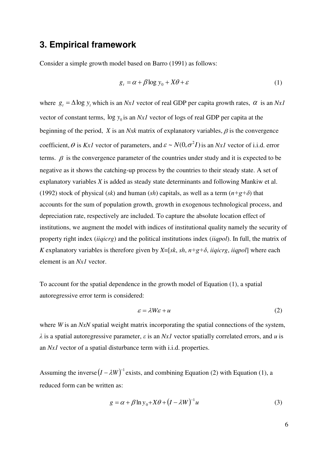#### **3. Empirical framework**

Consider a simple growth model based on Barro (1991) as follows:

$$
g_t = \alpha + \beta \log y_0 + X\theta + \varepsilon \tag{1}
$$

where  $g_t = \Delta \log y_t$  which is an *Nx1* vector of real GDP per capita growth rates,  $\alpha$  is an *Nx1* vector of constant terms,  $\log y_0$  is an *Nx1* vector of logs of real GDP per capita at the beginning of the period,  $\hat{X}$  is an *Nxk* matrix of explanatory variables,  $\hat{\beta}$  is the convergence coefficient,  $\theta$  is *Kx1* vector of parameters, and  $\varepsilon \sim N(0, \sigma^2 I)$  is an *Nx1* vector of i.i.d. error terms.  $\beta$  is the convergence parameter of the countries under study and it is expected to be negative as it shows the catching-up process by the countries to their steady state. A set of explanatory variables *X* is added as steady state determinants and following Mankiw et al. (1992) stock of physical (*sk*) and human (*sh*) capitals, as well as a term  $(n+g+\delta)$  that accounts for the sum of population growth, growth in exogenous technological process, and depreciation rate, respectively are included. To capture the absolute location effect of institutions, we augment the model with indices of institutional quality namely the security of property right index (*iiqicrg*) and the political institutions index (*iiqpol*). In full, the matrix of *K* explanatory variables is therefore given by *X*=[*sk*, *sh*,  $n+g+\delta$ , *iiqicrg*, *iiqpol*] where each element is an *Nx1* vector.

To account for the spatial dependence in the growth model of Equation (1), a spatial autoregressive error term is considered:

$$
\varepsilon = \lambda W \varepsilon + u \tag{2}
$$

where *W* is an *NxN* spatial weight matrix incorporating the spatial connections of the system, *λ* is a spatial autoregressive parameter, *ε* is an *Nx1* vector spatially correlated errors, and *u* is an *Nx1* vector of a spatial disturbance term with i.i.d. properties.

Assuming the inverse  $(I - \lambda W)^{-1}$  exists, and combining Equation (2) with Equation (1), a reduced form can be written as:

$$
g = \alpha + \beta \ln y_0 + X\theta + (I - \lambda W)^{-1}u
$$
 (3)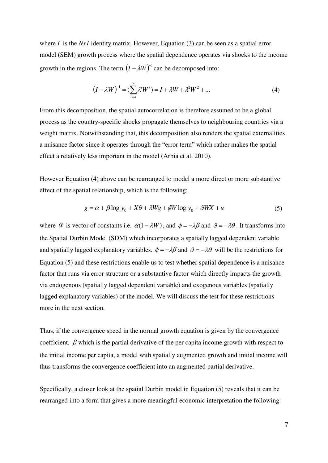where *I* is the *Nx1* identity matrix. However, Equation (3) can be seen as a spatial error model (SEM) growth process where the spatial dependence operates via shocks to the income growth in the regions. The term  $(I - \lambda W)^{-1}$  can be decomposed into:

$$
(I - \lambda W)^{-1} = (\sum_{i=0}^{\infty} \lambda^i W^i) = I + \lambda W + \lambda^2 W^2 + \dots
$$
 (4)

From this decomposition, the spatial autocorrelation is therefore assumed to be a global process as the country-specific shocks propagate themselves to neighbouring countries via a weight matrix. Notwithstanding that, this decomposition also renders the spatial externalities a nuisance factor since it operates through the "error term" which rather makes the spatial effect a relatively less important in the model (Arbia et al. 2010).

However Equation (4) above can be rearranged to model a more direct or more substantive effect of the spatial relationship, which is the following:

$$
g = \alpha + \beta \log y_0 + X\theta + \lambda W g + \phi W \log y_0 + \theta W X + u \tag{5}
$$

where  $\alpha$  is vector of constants i.e.  $\alpha(1 - \lambda W)$ , and  $\phi = -\lambda \beta$  and  $\beta = -\lambda \theta$ . It transforms into the Spatial Durbin Model (SDM) which incorporates a spatially lagged dependent variable and spatially lagged explanatory variables.  $\phi = -\lambda\beta$  and  $\theta = -\lambda\theta$  will be the restrictions for Equation (5) and these restrictions enable us to test whether spatial dependence is a nuisance factor that runs via error structure or a substantive factor which directly impacts the growth via endogenous (spatially lagged dependent variable) and exogenous variables (spatially lagged explanatory variables) of the model. We will discuss the test for these restrictions more in the next section.

Thus, if the convergence speed in the normal growth equation is given by the convergence coefficient,  $\beta$  which is the partial derivative of the per capita income growth with respect to the initial income per capita, a model with spatially augmented growth and initial income will thus transforms the convergence coefficient into an augmented partial derivative.

Specifically, a closer look at the spatial Durbin model in Equation (5) reveals that it can be rearranged into a form that gives a more meaningful economic interpretation the following: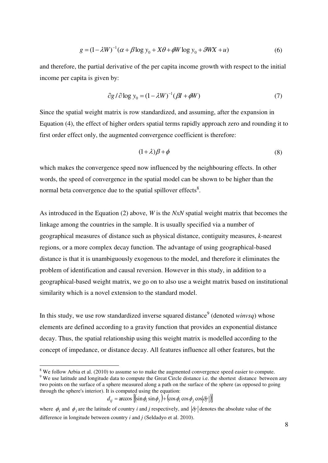$$
g = (1 - \lambda W)^{-1} (\alpha + \beta \log y_0 + X\theta + \phi W \log y_0 + \theta W X + u)
$$
 (6)

and therefore, the partial derivative of the per capita income growth with respect to the initial income per capita is given by:

$$
\partial g / \partial \log y_0 = (1 - \lambda W)^{-1} (\beta I + \phi W) \tag{7}
$$

Since the spatial weight matrix is row standardized, and assuming, after the expansion in Equation (4), the effect of higher orders spatial terms rapidly approach zero and rounding it to first order effect only, the augmented convergence coefficient is therefore:

$$
(1+\lambda)\beta + \phi \tag{8}
$$

which makes the convergence speed now influenced by the neighbouring effects. In other words, the speed of convergence in the spatial model can be shown to be higher than the normal beta convergence due to the spatial spillover effects<sup>8</sup>.

As introduced in the Equation (2) above, *W* is the *NxN* spatial weight matrix that becomes the linkage among the countries in the sample. It is usually specified via a number of geographical measures of distance such as physical distance, contiguity measures, *k*-nearest regions, or a more complex decay function. The advantage of using geographical-based distance is that it is unambiguously exogenous to the model, and therefore it eliminates the problem of identification and causal reversion. However in this study, in addition to a geographical-based weight matrix, we go on to also use a weight matrix based on institutional similarity which is a novel extension to the standard model.

In this study, we use row standardized inverse squared distance<sup>9</sup> (denoted *winvsq*) whose elements are defined according to a gravity function that provides an exponential distance decay. Thus, the spatial relationship using this weight matrix is modelled according to the concept of impedance, or distance decay. All features influence all other features, but the

<u>.</u>

 $d_{ij}$  =  $\arccos$   $\left[\sin\phi_i\sin\phi_j\right) + \left(\cos\phi_i\cos\phi_j\cos\phi_j\right]$ 

 $8$  We follow Arbia et al. (2010) to assume so to make the augmented convergence speed easier to compute.

<sup>&</sup>lt;sup>9</sup> We use latitude and longitude data to compute the Great Circle distance i.e. the shortest distance between any two points on the surface of a sphere measured along a path on the surface of the sphere (as opposed to going through the sphere's interior). It is computed using the equation:

where  $\phi_i$  and  $\phi_j$  are the latitude of country *i* and *j* respectively, and  $|\delta \gamma|$  denotes the absolute value of the difference in longitude between country *i* and *j* (Seldadyo et al. 2010).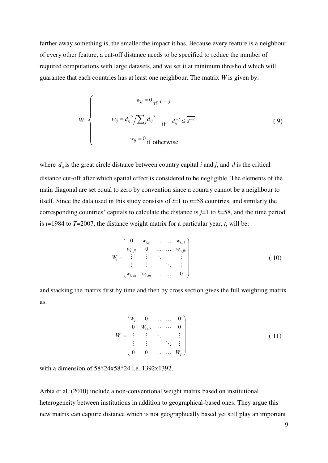farther away something is, the smaller the impact it has. Because every feature is a neighbour of every other feature, a cut-off distance needs to be specified to reduce the number of required computations with large datasets, and we set it at minimum threshold which will guarantee that each countries has at least one neighbour. The matrix *W* is given by:

$$
W \begin{cases} w_{ij} = 0 & \text{if } i = j \\ w_{ij} = d_{ij}^{-2} / \sum_{j} d_{ij}^{-2} & \text{if } d_{ij}^{-2} \leq d^{-2} \\ w_{ij} = 0 & \text{if otherwise} \end{cases}
$$
 (9)

where  $d_{ij}$  is the great circle distance between country capital *i* and *j*, and  $\overline{d}$  is the critical distance cut-off after which spatial effect is considered to be negligible. The elements of the main diagonal are set equal to zero by convention since a country cannot be a neighbour to itself. Since the data used in this study consists of *i*=1 to *n*=58 countries, and similarly the corresponding countries' capitals to calculate the distance is *j*=1 to *k*=58, and the time period is *t*=1984 to *T*=2007, the distance weight matrix for a particular year, *t*, will be:

$$
W_{t} = \begin{pmatrix} 0 & w_{t,ij} & \dots & \dots & w_{t,ik} \\ w_{t,ji} & 0 & \dots & \dots & w_{t,jk} \\ \vdots & \vdots & \ddots & \vdots \\ w_{t,jn} & w_{t,in} & \dots & \dots & 0 \end{pmatrix}
$$
 (10)

and stacking the matrix first by time and then by cross section gives the full weighting matrix as:

$$
W = \begin{pmatrix} W_t & 0 & \dots & \dots & 0 \\ 0 & W_{t+2} & \dots & \dots & 0 \\ \vdots & \vdots & \ddots & \vdots \\ 0 & 0 & \dots & \dots & W_T \end{pmatrix}
$$
 (11)

with a dimension of 58\*24x58\*24 i.e. 1392x1392.

Arbia et al. (2010) include a non-conventional weight matrix based on institutional heterogeneity between institutions in addition to geographical-based ones. They argue this new matrix can capture distance which is not geographically based yet still play an important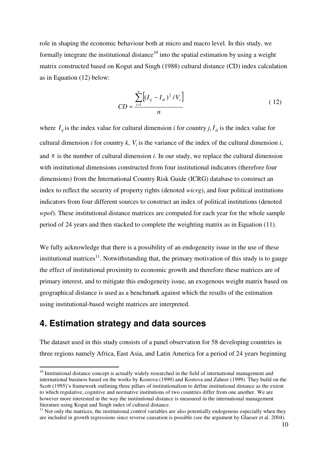role in shaping the economic behaviour both at micro and macro level. In this study, we formally integrate the institutional distance<sup>10</sup> into the spatial estimation by using a weight matrix constructed based on Kogut and Singh (1988) cultural distance (CD) index calculation as in Equation (12) below:

$$
CD = \frac{\sum_{i=1}^{n} \left[ (I_{ij} - I_{ik})^2 / V_i \right]}{n}
$$
 (12)

where  $I_{ij}$  is the index value for cultural dimension *i* for country *j*,  $I_{ik}$  is the index value for cultural dimension *i* for country *k*,  $V_i$  is the variance of the index of the cultural dimension *i*, and *n* is the number of cultural dimension *i*. In our study, we replace the cultural dimension with institutional dimensions constructed from four institutional indicators (therefore four dimensions) from the International Country Risk Guide (ICRG) database to construct an index to reflect the security of property rights (denoted *wicrg*), and four political institutions indicators from four different sources to construct an index of political institutions (denoted *wpol*). These institutional distance matrices are computed for each year for the whole sample period of 24 years and then stacked to complete the weighting matrix as in Equation (11).

We fully acknowledge that there is a possibility of an endogeneity issue in the use of these institutional matrices $11$ . Notwithstanding that, the primary motivation of this study is to gauge the effect of institutional proximity to economic growth and therefore these matrices are of primary interest, and to mitigate this endogeneity issue, an exogenous weight matrix based on geographical distance is used as a benchmark against which the results of the estimation using institutional-based weight matrices are interpreted.

### **4. Estimation strategy and data sources**

-

The dataset used in this study consists of a panel observation for 58 developing countries in three regions namely Africa, East Asia, and Latin America for a period of 24 years beginning

<sup>&</sup>lt;sup>10</sup> Institutional distance concept is actually widely researched in the field of international management and international business based on the works by Kostova (1999) and Kostova and Zaheer (1999). They build on the Scott (1995)'s framework outlining three pillars of institutionalism to define institutional distance as the extent to which regulative, cognitive and normative institutions of two countries differ from one another. We are however more interested in the way the institutional distance is measured in the international management literature using Kogut and Singh index of cultural distance.

 $<sup>11</sup>$  Not only the matrices, the institutional control variables are also potentially endogenous especially when they</sup> are included in growth regressions since reverse causation is possible (see the argument by Glaeser et al. 2004).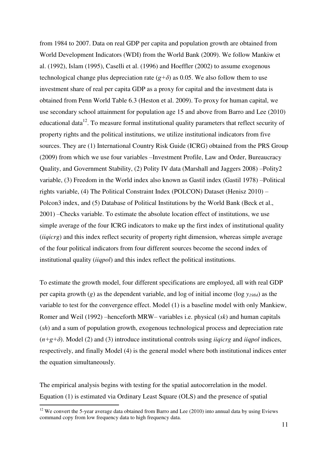from 1984 to 2007. Data on real GDP per capita and population growth are obtained from World Development Indicators (WDI) from the World Bank (2009). We follow Mankiw et al. (1992), Islam (1995), Caselli et al. (1996) and Hoeffler (2002) to assume exogenous technological change plus depreciation rate  $(g+\delta)$  as 0.05. We also follow them to use investment share of real per capita GDP as a proxy for capital and the investment data is obtained from Penn World Table 6.3 (Heston et al. 2009). To proxy for human capital, we use secondary school attainment for population age 15 and above from Barro and Lee (2010) educational data $12$ . To measure formal institutional quality parameters that reflect security of property rights and the political institutions, we utilize institutional indicators from five sources. They are (1) International Country Risk Guide (ICRG) obtained from the PRS Group (2009) from which we use four variables –Investment Profile, Law and Order, Bureaucracy Quality, and Government Stability, (2) Polity IV data (Marshall and Jaggers 2008) –Polity2 variable, (3) Freedom in the World index also known as Gastil index (Gastil 1978) –Political rights variable, (4) The Political Constraint Index (POLCON) Dataset (Henisz 2010) – Polcon3 index, and (5) Database of Political Institutions by the World Bank (Beck et al., 2001) –Checks variable. To estimate the absolute location effect of institutions, we use simple average of the four ICRG indicators to make up the first index of institutional quality (*iiqicrg*) and this index reflect security of property right dimension, whereas simple average of the four political indicators from four different sources become the second index of institutional quality (*iiqpol*) and this index reflect the political institutions.

To estimate the growth model, four different specifications are employed, all with real GDP per capita growth (*g*) as the dependent variable, and log of initial income (log *y1984*) as the variable to test for the convergence effect. Model (1) is a baseline model with only Mankiew, Romer and Weil (1992) –henceforth MRW– variables i.e. physical (*sk*) and human capitals (*sh*) and a sum of population growth, exogenous technological process and depreciation rate (*n+g+δ*). Model (2) and (3) introduce institutional controls using *iiqicrg* and *iiqpol* indices, respectively, and finally Model (4) is the general model where both institutional indices enter the equation simultaneously.

The empirical analysis begins with testing for the spatial autocorrelation in the model. Equation (1) is estimated via Ordinary Least Square (OLS) and the presence of spatial

-

 $12$  We convert the 5-year average data obtained from Barro and Lee (2010) into annual data by using Eviews command copy from low frequency data to high frequency data.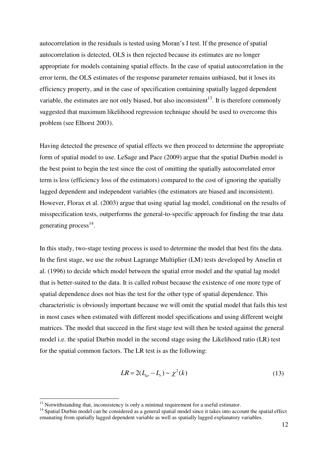autocorrelation in the residuals is tested using Moran's I test. If the presence of spatial autocorrelation is detected, OLS is then rejected because its estimates are no longer appropriate for models containing spatial effects. In the case of spatial autocorrelation in the error term, the OLS estimates of the response parameter remains unbiased, but it loses its efficiency property, and in the case of specification containing spatially lagged dependent variable, the estimates are not only biased, but also inconsistent<sup>13</sup>. It is therefore commonly suggested that maximum likelihood regression technique should be used to overcome this problem (see Elhorst 2003).

Having detected the presence of spatial effects we then proceed to determine the appropriate form of spatial model to use. LeSage and Pace (2009) argue that the spatial Durbin model is the best point to begin the test since the cost of omitting the spatially autocorrelated error term is less (efficiency loss of the estimators) compared to the cost of ignoring the spatially lagged dependent and independent variables (the estimators are biased and inconsistent). However, Florax et al. (2003) argue that using spatial lag model, conditional on the results of misspecification tests, outperforms the general-to-specific approach for finding the true data generating process<sup>14</sup>.

In this study, two-stage testing process is used to determine the model that best fits the data. In the first stage, we use the robust Lagrange Multiplier (LM) tests developed by Anselin et al. (1996) to decide which model between the spatial error model and the spatial lag model that is better-suited to the data. It is called robust because the existence of one more type of spatial dependence does not bias the test for the other type of spatial dependence. This characteristic is obviously important because we will omit the spatial model that fails this test in most cases when estimated with different model specifications and using different weight matrices. The model that succeed in the first stage test will then be tested against the general model i.e. the spatial Durbin model in the second stage using the Likelihood ratio (LR) test for the spatial common factors. The LR test is as the following:

$$
LR = 2(L_{ur} - L_r) \sim \chi^2(k)
$$
 (13)

<u>.</u>

<sup>&</sup>lt;sup>13</sup> Notwithstanding that, inconsistency is only a minimal requirement for a useful estimator.

<sup>&</sup>lt;sup>14</sup> Spatial Durbin model can be considered as a general spatial model since it takes into account the spatial effect emanating from spatially lagged dependent variable as well as spatially lagged explanatory variables.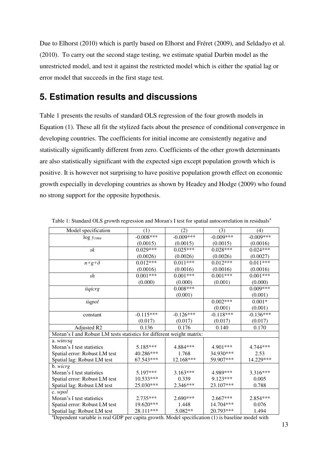Due to Elhorst (2010) which is partly based on Elhorst and Fréret (2009), and Seldadyo et al. (2010). To carry out the second stage testing, we estimate spatial Durbin model as the unrestricted model, and test it against the restricted model which is either the spatial lag or error model that succeeds in the first stage test.

### **5. Estimation results and discussions**

Table 1 presents the results of standard OLS regression of the four growth models in Equation (1). These all fit the stylized facts about the presence of conditional convergence in developing countries. The coefficients for initial income are consistently negative and statistically significantly different from zero. Coefficients of the other growth determinants are also statistically significant with the expected sign except population growth which is positive. It is however not surprising to have positive population growth effect on economic growth especially in developing countries as shown by Headey and Hodge (2009) who found no strong support for the opposite hypothesis.

| Model specification                                                   | (1)         | (2)         | (3)         | (4)         |
|-----------------------------------------------------------------------|-------------|-------------|-------------|-------------|
| $\log y_{1984}$                                                       | $-0.008***$ | $-0.009***$ | $-0.009***$ | $-0.009***$ |
|                                                                       | (0.0015)    | (0.0015)    | (0.0015)    | (0.0016)    |
| sk                                                                    | $0.029***$  | $0.025***$  | $0.028***$  | $0.024***$  |
|                                                                       | (0.0026)    | (0.0026)    | (0.0026)    | (0.0027)    |
| $n+g+\delta$                                                          | $0.012***$  | $0.011***$  | $0.012***$  | $0.011***$  |
|                                                                       | (0.0016)    | (0.0016)    | (0.0016)    | (0.0016)    |
| sh                                                                    | $0.001***$  | $0.001***$  | $0.001***$  | $0.001***$  |
|                                                                       | (0.000)     | (0.000)     | (0.001)     | (0.000)     |
| iiqicrg                                                               |             | $0.008***$  |             | $0.009***$  |
|                                                                       |             | (0.001)     |             | (0.001)     |
| iiqpol                                                                |             |             | $0.002***$  | $0.001*$    |
|                                                                       |             |             | (0.001)     | (0.001)     |
| constant                                                              | $-0.115***$ | $-0.126***$ | $-0.118***$ | $-0.136***$ |
|                                                                       | (0.017)     | (0.017)     | (0.017)     | (0.017)     |
| Adjusted R2                                                           | 0.136       | 0.176       | 0.140       | 0.170       |
| Moran's I and Robust LM tests statistics for different weight matrix: |             |             |             |             |
| a. winvsq                                                             |             |             |             |             |
| Moran's I test statistics                                             | 5.185***    | 4.884***    | 4.901***    | 4.744 ***   |
| Spatial error: Robust LM test                                         | 40.286***   | 1.768       | 34.930***   | 2.53        |
| Spatial lag: Robust LM test                                           | 67.543***   | 12.168***   | 59.907***   | 14.229***   |
| b. <i>wicrg</i>                                                       |             |             |             |             |
| Moran's I test statistics                                             | $5.197***$  | $3.163***$  | 4.989***    | 3.316***    |
| Spatial error: Robust LM test                                         | 10.533***   | 0.339       | 9.123***    | 0.005       |
| Spatial lag: Robust LM test                                           | 25.030***   | 2.346***    | 23.107***   | 0.788       |
| c. wpol                                                               |             |             |             |             |
| Moran's I test statistics                                             | $2.735***$  | 2.690***    | $2.667***$  | 2.854 ***   |
| Spatial error: Robust LM test                                         | 19.620***   | 1.448       | 14.704***   | 0.076       |
| Spatial lag: Robust LM test                                           | 28.111***   | 5.082**     | 20.793***   | 1.494       |

Table 1: Standard OLS growth regression and Moran's I test for spatial autocorrelation in residuals<sup>a</sup>

<sup>a</sup>Dependent variable is real GDP per capita growth. Model specification (1) is baseline model with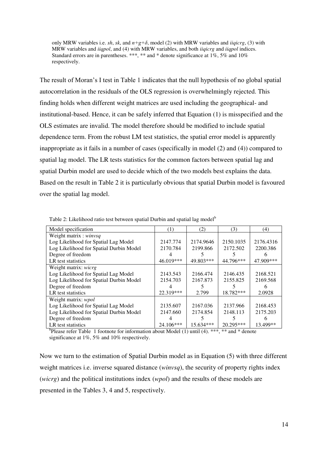only MRW variables i.e. *sh*, *sk*, and  $n+g+\delta$ , model (2) with MRW variables and *iiqicrg*, (3) with MRW variables and *iiqpol*, and (4) with MRW variables, and both *iiqicrg* and *iiqpol* indices. Standard errors are in parentheses. \*\*\*, \*\* and \* denote significance at 1%, 5% and 10% respectively.

The result of Moran's I test in Table 1 indicates that the null hypothesis of no global spatial autocorrelation in the residuals of the OLS regression is overwhelmingly rejected. This finding holds when different weight matrices are used including the geographical- and institutional-based. Hence, it can be safely inferred that Equation (1) is misspecified and the OLS estimates are invalid. The model therefore should be modified to include spatial dependence term. From the robust LM test statistics, the spatial error model is apparently inappropriate as it fails in a number of cases (specifically in model (2) and (4)) compared to spatial lag model. The LR tests statistics for the common factors between spatial lag and spatial Durbin model are used to decide which of the two models best explains the data. Based on the result in Table 2 it is particularly obvious that spatial Durbin model is favoured over the spatial lag model.

| Model specification                     | $\left(1\right)$ | (2)       | (3)       | (4)       |
|-----------------------------------------|------------------|-----------|-----------|-----------|
| Weight matrix : winvsq                  |                  |           |           |           |
| Log Likelihood for Spatial Lag Model    | 2147.774         | 2174.9646 | 2150.1035 | 2176.4316 |
| Log Likelihood for Spatial Durbin Model | 2170.784         | 2199.866  | 2172.502  | 2200.386  |
| Degree of freedom                       |                  |           |           |           |
| LR test statistics                      | 46.019***        | 49.803*** | 44.796*** | 47.909*** |
| Weight matrix: wicrg                    |                  |           |           |           |
| Log Likelihood for Spatial Lag Model    | 2143.543         | 2166.474  | 2146.435  | 2168.521  |
| Log Likelihood for Spatial Durbin Model | 2154.703         | 2167.873  | 2155.825  | 2169.568  |
| Degree of freedom                       |                  |           |           |           |
| LR test statistics                      | 22.319***        | 2.799     | 18.782*** | 2.0928    |
| Weight matrix: <i>wpol</i>              |                  |           |           |           |
| Log Likelihood for Spatial Lag Model    | 2135.607         | 2167.036  | 2137.966  | 2168.453  |
| Log Likelihood for Spatial Durbin Model | 2147.660         | 2174.854  | 2148.113  | 2175.203  |
| Degree of freedom                       |                  |           |           |           |
| LR test statistics                      | 24.106***        | 15.634*** | 20.295*** | 13.499**  |

Table 2: Likelihood ratio test between spatial Durbin and spatial lag model<sup>b</sup>

LR test statistics 24.106\*\*\* 15.634\*\*\* 20.295\*\*\* 13.499\*\* b Please refer Table 1 footnote for information about Model (1) until (4). \*\*\*, \*\* and \* denote significance at 1%, 5% and 10% respectively.

Now we turn to the estimation of Spatial Durbin model as in Equation (5) with three different weight matrices i.e. inverse squared distance (*winvsq*), the security of property rights index (*wicrg*) and the political institutions index (*wpol*) and the results of these models are presented in the Tables 3, 4 and 5, respectively.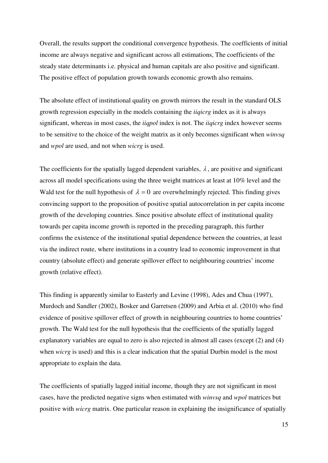Overall, the results support the conditional convergence hypothesis. The coefficients of initial income are always negative and significant across all estimations, The coefficients of the steady state determinants i.e. physical and human capitals are also positive and significant. The positive effect of population growth towards economic growth also remains.

The absolute effect of institutional quality on growth mirrors the result in the standard OLS growth regression especially in the models containing the *iiqicrg* index as it is always significant, whereas in most cases, the *iiqpol* index is not. The *iiqicrg* index however seems to be sensitive to the choice of the weight matrix as it only becomes significant when *winvsq* and *wpol* are used, and not when *wicrg* is used.

The coefficients for the spatially lagged dependent variables,  $\lambda$ , are positive and significant across all model specifications using the three weight matrices at least at 10% level and the Wald test for the null hypothesis of  $\lambda = 0$  are overwhelmingly rejected. This finding gives convincing support to the proposition of positive spatial autocorrelation in per capita income growth of the developing countries. Since positive absolute effect of institutional quality towards per capita income growth is reported in the preceding paragraph, this further confirms the existence of the institutional spatial dependence between the countries, at least via the indirect route, where institutions in a country lead to economic improvement in that country (absolute effect) and generate spillover effect to neighbouring countries' income growth (relative effect).

This finding is apparently similar to Easterly and Levine (1998), Ades and Chua (1997), Murdoch and Sandler (2002), Bosker and Garretsen (2009) and Arbia et al. (2010) who find evidence of positive spillover effect of growth in neighbouring countries to home countries' growth. The Wald test for the null hypothesis that the coefficients of the spatially lagged explanatory variables are equal to zero is also rejected in almost all cases (except (2) and (4) when *wicrg* is used) and this is a clear indication that the spatial Durbin model is the most appropriate to explain the data.

The coefficients of spatially lagged initial income, though they are not significant in most cases, have the predicted negative signs when estimated with *winvsq* and *wpol* matrices but positive with *wicrg* matrix. One particular reason in explaining the insignificance of spatially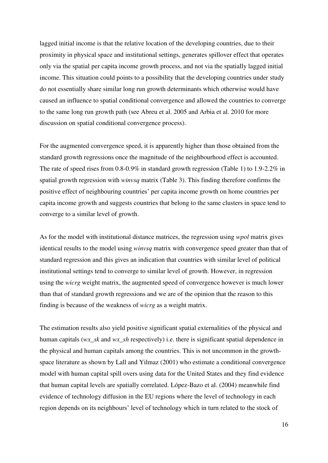lagged initial income is that the relative location of the developing countries, due to their proximity in physical space and institutional settings, generates spillover effect that operates only via the spatial per capita income growth process, and not via the spatially lagged initial income. This situation could points to a possibility that the developing countries under study do not essentially share similar long run growth determinants which otherwise would have caused an influence to spatial conditional convergence and allowed the countries to converge to the same long run growth path (see Abreu et al. 2005 and Arbia et al. 2010 for more discussion on spatial conditional convergence process).

For the augmented convergence speed, it is apparently higher than those obtained from the standard growth regressions once the magnitude of the neighbourhood effect is accounted. The rate of speed rises from 0.8-0.9% in standard growth regression (Table 1) to 1.9-2.2% in spatial growth regression with *winvsq* matrix (Table 3). This finding therefore confirms the positive effect of neighbouring countries' per capita income growth on home countries per capita income growth and suggests countries that belong to the same clusters in space tend to converge to a similar level of growth.

As for the model with institutional distance matrices, the regression using *wpol* matrix gives identical results to the model using *winvsq* matrix with convergence speed greater than that of standard regression and this gives an indication that countries with similar level of political institutional settings tend to converge to similar level of growth. However, in regression using the *wicrg* weight matrix, the augmented speed of convergence however is much lower than that of standard growth regressions and we are of the opinion that the reason to this finding is because of the weakness of *wicrg* as a weight matrix.

The estimation results also yield positive significant spatial externalities of the physical and human capitals (*wx\_sk* and *wx\_sh* respectively) i.e. there is significant spatial dependence in the physical and human capitals among the countries. This is not uncommon in the growthspace literature as shown by Lall and Yilmaz (2001) who estimate a conditional convergence model with human capital spill overs using data for the United States and they find evidence that human capital levels are spatially correlated. López-Bazo et al. (2004) meanwhile find evidence of technology diffusion in the EU regions where the level of technology in each region depends on its neighbours' level of technology which in turn related to the stock of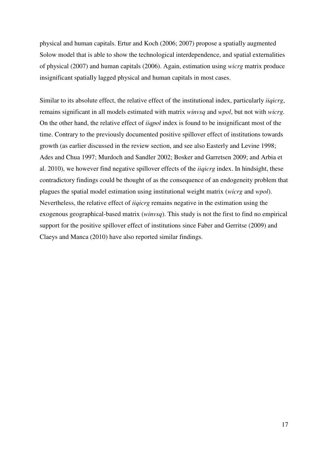physical and human capitals. Ertur and Koch (2006; 2007) propose a spatially augmented Solow model that is able to show the technological interdependence, and spatial externalities of physical (2007) and human capitals (2006). Again, estimation using *wicrg* matrix produce insignificant spatially lagged physical and human capitals in most cases.

Similar to its absolute effect, the relative effect of the institutional index, particularly *iiqicrg*, remains significant in all models estimated with matrix *winvsq* and *wpol*, but not with *wicrg*. On the other hand, the relative effect of *iiqpol* index is found to be insignificant most of the time. Contrary to the previously documented positive spillover effect of institutions towards growth (as earlier discussed in the review section, and see also Easterly and Levine 1998; Ades and Chua 1997; Murdoch and Sandler 2002; Bosker and Garretsen 2009; and Arbia et al. 2010), we however find negative spillover effects of the *iiqicrg* index. In hindsight, these contradictory findings could be thought of as the consequence of an endogeneity problem that plagues the spatial model estimation using institutional weight matrix (*wicrg* and *wpol*). Nevertheless, the relative effect of *iiqicrg* remains negative in the estimation using the exogenous geographical-based matrix (*winvsq*). This study is not the first to find no empirical support for the positive spillover effect of institutions since Faber and Gerritse (2009) and Claeys and Manca (2010) have also reported similar findings.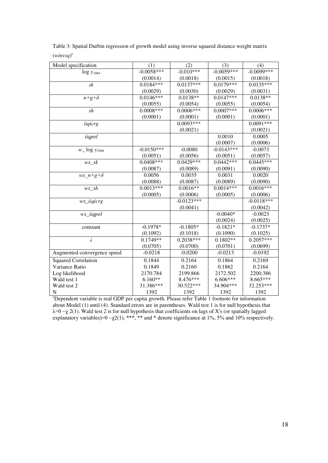Table 3: Spatial Durbin regression of growth model using inverse squared distance weight matrix (*winvsq*) c

| Model specification         | (1)          | (2)          | (3)          | (4)          |
|-----------------------------|--------------|--------------|--------------|--------------|
| $\log y_{1984}$             | $-0.0058***$ | $-0.010***$  | $-0.0059***$ | $-0.0099***$ |
|                             | (0.0014)     | (0.0018)     | (0.0015)     | (0.0018)     |
| sk                          | $0.0184***$  | $0.0137***$  | $0.0179***$  | $0.0135***$  |
|                             | (0.0029)     | (0.0030)     | (0.0029)     | (0.0031)     |
| $n+g+\delta$                | $0.0146***$  | $0.0138**$   | $0.0147***$  | $0.0138**$   |
|                             | (0.0055)     | (0.0054)     | (0.0055)     | (0.0054)     |
| sh                          | $0.0008***$  | $0.0006***$  | $0.0007***$  | $0.0006***$  |
|                             | (0.0001)     | (0.0001)     | (0.0001)     | (0.0001)     |
| iiqicrg                     |              | $0.0093***$  |              | $0.0091***$  |
|                             |              | (0.0021)     |              | (0.0021)     |
| iiqpol                      |              |              | 0.0010       | 0.0005       |
|                             |              |              | (0.0007)     | (0.0006)     |
| $w_{\perp}$ log $y_{1984}$  | $-0.0150***$ | $-0.0080$    | $-0.0143***$ | $-0.0073$    |
|                             | (0.0051)     | (0.0056)     | (0.0051)     | (0.0057)     |
| $wx\_sk$                    | $0.0408***$  | $0.0429***$  | $0.0442***$  | $0.0445***$  |
|                             | (0.0087)     | (0.0089)     | (0.0091)     | (0.0090)     |
| wx $n+g+\delta$             | 0.0056       | 0.0035       | 0.0031       | 0.0020       |
|                             | (0.0088)     | (0.0087)     | (0.0089)     | (0.0090)     |
| $wx\_sh$                    | $0.0013***$  | $0.0016**$   | $0.0014***$  | $0.0016***$  |
|                             | (0.0005)     | (0.0006)     | (0.0005)     | (0.0006)     |
| wx_iiqicrg                  |              | $-0.0123***$ |              | $-0.0118***$ |
|                             |              | (0.0041)     |              | (0.0042)     |
| $wx\_iiqpol$                |              |              | $-0.0040*$   | $-0.0023$    |
|                             |              |              | (0.0024)     | (0.0025)     |
| constant                    | $-0.1978*$   | $-0.1805*$   | $-0.1821*$   | $-0.1737*$   |
|                             | (0.1092)     | (0.1018)     | (0.1090)     | (0.1025)     |
| $\overline{\lambda}$        | $0.1749**$   | $0.2038***$  | $0.1802**$   | $0.2057***$  |
|                             | (0.0705)     | (0.0700)     | (0.0701)     | (0.0699)     |
| Augmented convergence speed | $-0.0218$    | $-0.0200$    | $-0.0213$    | $-0.0192$    |
| <b>Squared Correlation</b>  | 0.1844       | 0.2164       | 0.1864       | 0.2169       |
| Variance Ratio              | 0.1849       | 0.2160       | 0.1862       | 0.2164       |
| Log likelihood              | 2170.784     | 2199.866     | 2172.502     | 2200.386     |
| Wald test 1                 | $6.160**$    | 8.476***     | 6.606***     | 8.665***     |
| Wald test 2                 | 31.386***    | 30.522***    | 34.904***    | 32.253***    |
| ${\bf N}$                   | 1392         | 1392         | 1392         | 1392         |

<sup>c</sup>Dependent variable is real GDP per capita growth. Please refer Table 1 footnote for information about Model (1) until (4). Standard errors are in parentheses. Wald test 1 is for null hypothesis that  $\lambda$ =0  $\sim$ χ 2(1). Wald test 2 is for null hypothesis that coefficients on lags of X's (or spatially lagged explanatory variables)= $0 \sim \chi(1)$ . \*\*\*, \*\* and \* denote significance at 1%, 5% and 10% respectively.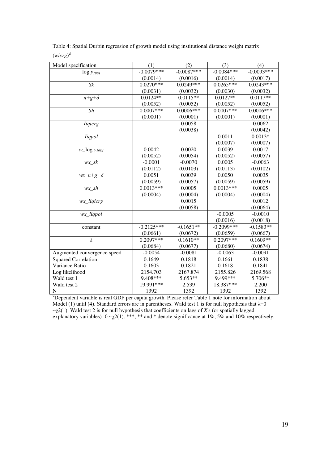| Table 4: Spatial Durbin regression of growth model using institutional distance weight matrix |
|-----------------------------------------------------------------------------------------------|
| $(wicrg)^d$                                                                                   |

| Model specification         | (1)          | (2)          | (3)          | (4)          |
|-----------------------------|--------------|--------------|--------------|--------------|
| $log y_{1984}$              | $-0.0079***$ | $-0.0087***$ | $-0.0084***$ | $-0.0093***$ |
|                             | (0.0014)     | (0.0016)     | (0.0014)     | (0.0017)     |
| $S_k$                       | $0.0270***$  | $0.0249***$  | $0.0265***$  | $0.0243***$  |
|                             | (0.0031)     | (0.0032)     | (0.0030)     | (0.0032)     |
| $n+g+\delta$                | $0.0124**$   | $0.0115**$   | $0.0127**$   | $0.0117**$   |
|                             | (0.0052)     | (0.0052)     | (0.0052)     | (0.0052)     |
| $\overline{Sh}$             | $0.0007***$  | $0.0006***$  | $0.0007***$  | $0.0006***$  |
|                             | (0.0001)     | (0.0001)     | (0.0001)     | (0.0001)     |
| <b>Iigicrg</b>              |              | 0.0058       |              | 0.0062       |
|                             |              | (0.0038)     |              | (0.0042)     |
| <b>liqpol</b>               |              |              | 0.0011       | $0.0013*$    |
|                             |              |              | (0.0007)     | (0.0007)     |
| $w_{log}$ y <sub>1984</sub> | 0.0042       | 0.0020       | 0.0039       | 0.0017       |
|                             | (0.0052)     | (0.0054)     | (0.0052)     | (0.0057)     |
| $wx\_sk$                    | $-0.0001$    | $-0.0070$    | 0.0005       | $-0.0063$    |
|                             | (0.0112)     | (0.0103)     | (0.0113)     | (0.0102)     |
| wx $n+g+\delta$             | 0.0051       | 0.0039       | 0.0050       | 0.0035       |
|                             | (0.0059)     | (0.0057)     | (0.0059)     | (0.0059)     |
| $wx\_sh$                    | $0.0013***$  | 0.0005       | $0.0013***$  | 0.0005       |
|                             | (0.0004)     | (0.0004)     | (0.0004)     | (0.0004)     |
| wx_iiqicrg                  |              | 0.0015       |              | 0.0012       |
|                             |              | (0.0058)     |              | (0.0064)     |
| wx_iiqpol                   |              |              | $-0.0005$    | $-0.0010$    |
|                             |              |              | (0.0016)     | (0.0018)     |
| constant                    | $-0.2125***$ | $-0.1651**$  | $-0.2099***$ | $-0.1583**$  |
|                             | (0.0661)     | (0.0672)     | (0.0659)     | (0.0667)     |
| $\overline{\lambda}$        | $0.2097***$  | $0.1610**$   | $0.2097***$  | $0.1609**$   |
|                             | (0.0684)     | (0.0677)     | (0.0680)     | (0.0674)     |
| Augmented convergence speed | $-0.0054$    | $-0.0081$    | $-0.0063$    | $-0.0091$    |
| <b>Squared Correlation</b>  | 0.1649       | 0.1818       | 0.1661       | 0.1838       |
| Variance Ratio              | 0.1603       | 0.1821       | 0.1618       | 0.1841       |
| Log likelihood              | 2154.703     | 2167.874     | 2155.826     | 2169.568     |
| Wald test 1                 | 9.408***     | 5.653**      | 9.499***     | 5.706**      |
| Wald test 2                 | 19.991***    | 2.539        | 18.387***    | 2.200        |
| ${\bf N}$                   | 1392         | 1392         | 1392         | 1392         |

<sup>d</sup>Dependent variable is real GDP per capita growth. Please refer Table 1 note for information about Model (1) until (4). Standard errors are in parentheses. Wald test 1 is for null hypothesis that  $\lambda=0$ ~χ2(1). Wald test 2 is for null hypothesis that coefficients on lags of *X*'s (or spatially lagged explanatory variables)= $0 \sim \chi(1)$ . \*\*\*, \*\* and \* denote significance at 1%, 5% and 10% respectively.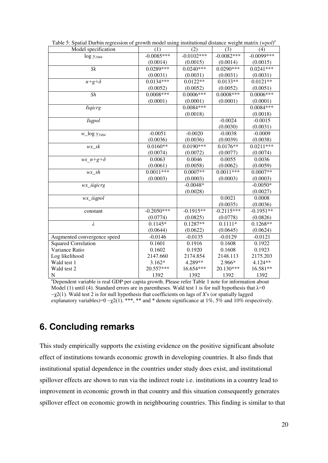| Model specification         | (1)          | (2)          | (3)          | (4)          |
|-----------------------------|--------------|--------------|--------------|--------------|
| $\log y_{1984}$             | $-0.0085***$ | $-0.0102***$ | $-0.0082***$ | $-0.0099***$ |
|                             | (0.0014)     | (0.0015)     | (0.0014)     | (0.0015)     |
| Sk                          | $0.0289***$  | $0.0240***$  | $0.0290***$  | $0.0241***$  |
|                             | (0.0031)     | (0.0031)     | (0.0031)     | (0.0031)     |
| $n+g+\delta$                | $0.0134***$  | $0.0122**$   | $0.0133**$   | $0.0121**$   |
|                             | (0.0052)     | (0.0052)     | (0.0052)     | (0.0051)     |
| Sh                          | $0.0008***$  | $0.0006***$  | $0.0008***$  | $0.0006***$  |
|                             | (0.0001)     | (0.0001)     | (0.0001)     | (0.0001)     |
| <b>Iiqicrg</b>              |              | $0.0084***$  |              | $0.0084***$  |
|                             |              | (0.0018)     |              | (0.0018)     |
| <i>liqpol</i>               |              |              | $-0.0024$    | $-0.0015$    |
|                             |              |              | (0.0030)     | (0.0031)     |
| $w_{log}$ y <sub>1984</sub> | $-0.0051$    | $-0.0020$    | $-0.0038$    | $-0.0009$    |
|                             | (0.0036)     | (0.0036)     | (0.0039)     | (0.0038)     |
| $wx\_sk$                    | $0.0160**$   | $0.0190***$  | $0.0176**$   | $0.0211***$  |
|                             | (0.0074)     | (0.0072)     | (0.0077)     | (0.0074)     |
| wx $n+g+\delta$             | 0.0063       | 0.0046       | 0.0055       | 0.0036       |
|                             | (0.0061)     | (0.0058)     | (0.0062)     | (0.0059)     |
| $wx\_sh$                    | $0.0011***$  | $0.0007**$   | $0.0011***$  | $0.0007**$   |
|                             | (0.0003)     | (0.0003)     | (0.0003)     | (0.0003)     |
| wx_iiqicrg                  |              | $-0.0048*$   |              | $-0.0050*$   |
|                             |              | (0.0028)     |              | (0.0027)     |
| $wx\_iiqpol$                |              |              | 0.0021       | 0.0008       |
|                             |              |              | (0.0035)     | (0.0036)     |
| constant                    | $-0.2050***$ | $-0.1915**$  | $-0.2115***$ | $-0.1951**$  |
|                             | (0.0774)     | (0.0825)     | (0.0778)     | (0.0826)     |
| $\lambda$                   | $0.1145*$    | $0.1287**$   | $0.1111*$    | $0.1268**$   |
|                             | (0.0644)     | (0.0622)     | (0.0645)     | (0.0624)     |
| Augmented convergence speed | $-0.0146$    | $-0.0135$    | $-0.0129$    | $-0.0121$    |
| <b>Squared Correlation</b>  | 0.1601       | 0.1916       | 0.1608       | 0.1922       |
| Variance Ratio              | 0.1602       | 0.1920       | 0.1608       | 0.1923       |
| Log likelihood              | 2147.660     | 2174.854     | 2148.113     | 2175.203     |
| Wald test 1                 | $3.162*$     | 4.289**      | 2.966*       | 4.124**      |
| Wald test 2                 | 20.557***    | 16.654 ***   | 20.130***    | 16.581**     |
| ${\bf N}$                   | 1392         | 1392         | 1392         | 1392         |

Table 5: Spatial Durbin regression of growth model using institutional distance weight matrix (*wpol*) e

<sup>e</sup>Dependent variable is real GDP per capita growth. Please refer Table 1 note for information about Model (1) until (4). Standard errors are in parentheses. Wald test 1 is for null hypothesis that  $\lambda=0$ ~χ2(1). Wald test 2 is for null hypothesis that coefficients on lags of *X*'s (or spatially lagged explanatory variables)=0  $\sim \chi$ 2(1). \*\*\*, \*\* and \* denote significance at 1%, 5% and 10% respectively.

### **6. Concluding remarks**

This study empirically supports the existing evidence on the positive significant absolute effect of institutions towards economic growth in developing countries. It also finds that institutional spatial dependence in the countries under study does exist, and institutional spillover effects are shown to run via the indirect route i.e. institutions in a country lead to improvement in economic growth in that country and this situation consequently generates spillover effect on economic growth in neighbouring countries. This finding is similar to that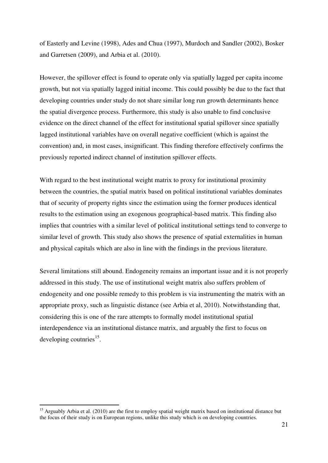of Easterly and Levine (1998), Ades and Chua (1997), Murdoch and Sandler (2002), Bosker and Garretsen (2009), and Arbia et al. (2010).

However, the spillover effect is found to operate only via spatially lagged per capita income growth, but not via spatially lagged initial income. This could possibly be due to the fact that developing countries under study do not share similar long run growth determinants hence the spatial divergence process. Furthermore, this study is also unable to find conclusive evidence on the direct channel of the effect for institutional spatial spillover since spatially lagged institutional variables have on overall negative coefficient (which is against the convention) and, in most cases, insignificant. This finding therefore effectively confirms the previously reported indirect channel of institution spillover effects.

With regard to the best institutional weight matrix to proxy for institutional proximity between the countries, the spatial matrix based on political institutional variables dominates that of security of property rights since the estimation using the former produces identical results to the estimation using an exogenous geographical-based matrix. This finding also implies that countries with a similar level of political institutional settings tend to converge to similar level of growth. This study also shows the presence of spatial externalities in human and physical capitals which are also in line with the findings in the previous literature.

Several limitations still abound. Endogeneity remains an important issue and it is not properly addressed in this study. The use of institutional weight matrix also suffers problem of endogeneity and one possible remedy to this problem is via instrumenting the matrix with an appropriate proxy, such as linguistic distance (see Arbia et al, 2010). Notwithstanding that, considering this is one of the rare attempts to formally model institutional spatial interdependence via an institutional distance matrix, and arguably the first to focus on developing coutnries $^{15}$ .

-

 $15$  Arguably Arbia et al. (2010) are the first to employ spatial weight matrix based on institutional distance but the focus of their study is on European regions, unlike this study which is on developing countries.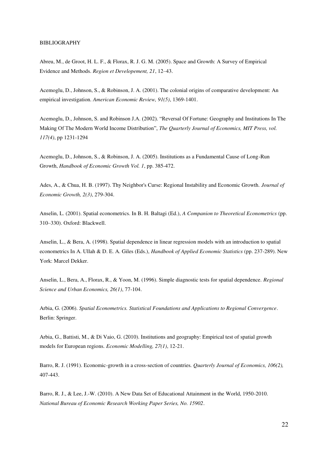#### BIBLIOGRAPHY

Abreu, M., de Groot, H. L. F., & Florax, R. J. G. M. (2005). Space and Growth: A Survey of Empirical Evidence and Methods. *Region et Developement, 21*, 12–43.

Acemoglu, D., Johnson, S., & Robinson, J. A. (2001). The colonial origins of comparative development: An empirical investigation. *American Economic Review, 91(5)*, 1369-1401.

Acemoglu, D., Johnson, S. and Robinson J.A. (2002). "Reversal Of Fortune: Geography and Institutions In The Making Of The Modern World Income Distribution", *The Quarterly Journal of Economics, MIT Press, vol. 117(4)*, pp 1231-1294

Acemoglu, D., Johnson, S., & Robinson, J. A. (2005). Institutions as a Fundamental Cause of Long-Run Growth, *Handbook of Economic Growth Vol. 1*, pp. 385-472.

Ades, A., & Chua, H. B. (1997). Thy Neighbor's Curse: Regional Instability and Economic Growth. *Journal of Economic Growth, 2(3)*, 279-304.

Anselin, L. (2001). Spatial econometrics. In B. H. Baltagi (Ed.), *A Companion to Theoretical Econometrics* (pp. 310–330). Oxford: Blackwell.

Anselin, L., & Bera, A. (1998). Spatial dependence in linear regression models with an introduction to spatial econometrics In A. Ullah & D. E. A. Giles (Eds.), *Handbook of Applied Economic Statistics* (pp. 237-289). New York: Marcel Dekker.

Anselin, L., Bera, A., Florax, R., & Yoon, M. (1996). Simple diagnostic tests for spatial dependence. *Regional Science and Urban Economics, 26(1)*, 77-104.

Arbia, G. (2006). *Spatial Econometrics. Statistical Foundations and Applications to Regional Convergence*. Berlin: Springer.

Arbia, G., Battisti, M., & Di Vaio, G. (2010). Institutions and geography: Empirical test of spatial growth models for European regions. *Economic Modelling, 27(1)*, 12-21.

Barro, R. J. (1991). Economic-growth in a cross-section of countries*. Quarterly Journal of Economics, 106(2),* 407-443.

Barro, R. J., & Lee, J.-W. (2010). A New Data Set of Educational Attainment in the World, 1950-2010. *National Bureau of Economic Research Working Paper Series, No. 15902*.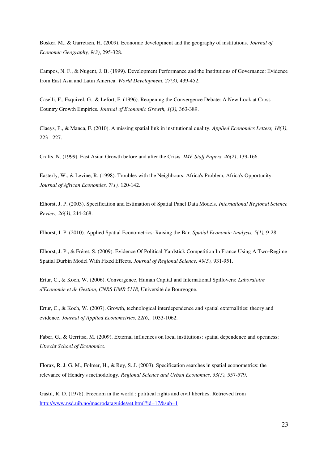Bosker, M., & Garretsen, H. (2009). Economic development and the geography of institutions. *Journal of Economic Geography, 9(3)*, 295-328.

Campos, N. F., & Nugent, J. B. (1999). Development Performance and the Institutions of Governance: Evidence from East Asia and Latin America. *World Development, 27(3),* 439-452.

Caselli, F., Esquivel, G., & Lefort, F. (1996). Reopening the Convergence Debate: A New Look at Cross-Country Growth Empirics. *Journal of Economic Growth, 1(3),* 363-389.

Claeys, P., & Manca, F. (2010). A missing spatial link in institutional quality. *Applied Economics Letters, 18(3)*, 223 - 227.

Crafts, N. (1999). East Asian Growth before and after the Crisis. *IMF Staff Papers, 46(2)*, 139-166.

Easterly, W., & Levine, R. (1998). Troubles with the Neighbours: Africa's Problem, Africa's Opportunity. *Journal of African Economies, 7(1),* 120-142.

Elhorst, J. P. (2003). Specification and Estimation of Spatial Panel Data Models. *International Regional Science Review, 26(3)*, 244-268.

Elhorst, J. P. (2010). Applied Spatial Econometrics: Raising the Bar. *Spatial Economic Analysis, 5(1),* 9-28.

Elhorst, J. P., & Fréret, S. (2009). Evidence Of Political Yardstick Competition In France Using A Two-Regime Spatial Durbin Model With Fixed Effects. *Journal of Regional Science, 49(5),* 931-951.

Ertur, C., & Koch, W. (2006). Convergence, Human Capital and International Spillovers: *Laboratoire d'Economie et de Gestion, CNRS UMR 5118*, Université de Bourgogne.

Ertur, C., & Koch, W. (2007). Growth, technological interdependence and spatial externalities: theory and evidence. *Journal of Applied Econometrics, 22(6),* 1033-1062.

Faber, G., & Gerritse, M. (2009). External influences on local institutions: spatial dependence and openness: *Utrecht School of Economics*.

Florax, R. J. G. M., Folmer, H., & Rey, S. J. (2003). Specification searches in spatial econometrics: the relevance of Hendry's methodology. *Regional Science and Urban Economics, 33(5),* 557-579.

Gastil, R. D. (1978). Freedom in the world : political rights and civil liberties. Retrieved from <http://www.nsd.uib.no/macrodataguide/set.html?id=17&sub=1>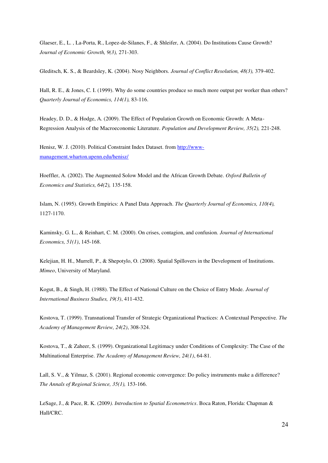Glaeser, E., L. , La-Porta, R., Lopez-de-Silanes, F., & Shleifer, A. (2004). Do Institutions Cause Growth? *Journal of Economic Growth, 9(3),* 271-303.

Gleditsch, K. S., & Beardsley, K. (2004). Nosy Neighbors. *Journal of Conflict Resolution, 48(3),* 379-402.

Hall, R. E., & Jones, C. I. (1999). Why do some countries produce so much more output per worker than others? *Quarterly Journal of Economics, 114(1),* 83-116.

Headey, D. D., & Hodge, A. (2009). The Effect of Population Growth on Economic Growth: A Meta-Regression Analysis of the Macroeconomic Literature. *Population and Development Review, 35(2),* 221-248.

Henisz, W. J. (2010). Political Constraint Index Dataset. from [http://www](http://www-management.wharton.upenn.edu/henisz/)[management.wharton.upenn.edu/henisz/](http://www-management.wharton.upenn.edu/henisz/)

Hoeffler, A. (2002). The Augmented Solow Model and the African Growth Debate. *Oxford Bulletin of Economics and Statistics, 64(2),* 135-158.

Islam, N. (1995). Growth Empirics: A Panel Data Approach. *The Quarterly Journal of Economics, 110(4),* 1127-1170.

Kaminsky, G. L., & Reinhart, C. M. (2000). On crises, contagion, and confusion. *Journal of International Economics, 51(1)*, 145-168.

Kelejian, H. H., Murrell, P., & Shepotylo, O. (2008). Spatial Spillovers in the Development of Institutions. *Mimeo*, University of Maryland.

Kogut, B., & Singh, H. (1988). The Effect of National Culture on the Choice of Entry Mode. *Journal of International Business Studies, 19(3)*, 411-432.

Kostova, T. (1999). Transnational Transfer of Strategic Organizational Practices: A Contextual Perspective*. The Academy of Management Review, 24(2)*, 308-324.

Kostova, T., & Zaheer, S. (1999). Organizational Legitimacy under Conditions of Complexity: The Case of the Multinational Enterprise. *The Academy of Management Review, 24(1)*, 64-81.

Lall, S. V., & Yilmaz, S. (2001). Regional economic convergence: Do policy instruments make a difference? *The Annals of Regional Science, 35(1),* 153-166.

LeSage, J., & Pace, R. K. (2009*). Introduction to Spatial Econometrics*. Boca Raton, Florida: Chapman & Hall/CRC.